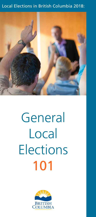# Local Elections in British Columbia 2018:



# General Local **Elections** 101

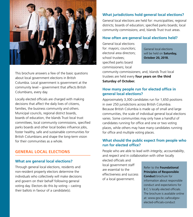

This brochure answers a few of the basic questions about local government elections in British Columbia. Local government is government at the community level – government that affects British Columbians, every day.

Locally elected officials are charged with making decisions that affect the daily lives of citizens, families, the business community and others. Municipal councils, regional district boards, boards of education, the Islands Trust local trust committees, local community commissions, specified parks boards and other local bodies influence jobs, foster healthy, safe and sustainable communities for British Columbians and shape the long-term vision for their communities as a whole.

# **GENERAL LOCAL ELECTIONS**

## **What are general local elections?**

Through general local elections, residents and non-resident property electors determine the individuals who collectively will make decisions and govern on their behalf following general voting day. Electors do this by voting – casting their ballots in favour of a candidate(s).

## **What jurisdictions hold general local elections?**

General local elections are held for: municipalities; regional districts; boards of education; specified parks boards; local community commissions; and, Islands Trust trust areas.

#### **How often are general local elections held?**

General local elections for: mayors; councilors; electoral area directors; school trustees; specified parks board commissioners; local

General local elections will be held on **Saturday, October 20, 2018.**

community commissioners; and, Islands Trust local trustees are held every **four years on the third Saturday of October.**

# **How many people run for elected office in general local elections?**

Approximately 3,300 candidates run for 1,650 positions in over 250 jurisdictions across British Columbia. Because British Columbia is made up of small and large communities, the scale of individual general local elections varies. Some communities may only have a handful of candidates running for office and one or two voting places, while others may have many candidates running for office and multiple voting places.

# **What should the public expect from people who run for elected office?**

People who are able to lead with *integrity*, *accountability*, and *respect* and in *collaboration* with other locally

elected officials and local government staff are essential to the effectiveness and success of a local government.

Refer to the **Foundational Principles of Responsible Conduct** brochure for information about responsible conduct and expectations for B.C.'s locally elected officials. The brochure is available online at: www.gov.bc.ca/localgovelected-officials-conduct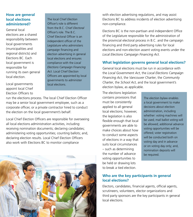# **How are general local elections administered?**

General local elections are a shared responsibility between local governments (municipalities and regional districts) and Elections BC. Each local government is responsible for running its own general local election.

Local governments appoint local Chief Election Officers to The local Chief *Election* Officer's role is different from the B.C. Chief *Electoral*  Officer's role. The B.C. Chief Electoral Officer is an independent officer of the Legislature who administers campaign financing and election advertising in general local elections and ensures compliance with the *Local Elections Campaign Financing Act*. Local Chief Election Officers are appointed by local governments to administer local elections.

run the elections process. The local Chief Election Officer may be a senior local government employee, such as a corporate officer, or a private contractor hired to conduct the election on the local government's behalf.

Local Chief Election Officers are responsible for overseeing all local elections administration activities, including: receiving nomination documents; declaring candidates; administering voting opportunities; counting ballots; and, declaring election results. Local Chief Election Officers also work with Elections BC to monitor compliance



with election advertising regulations, and may assist Elections BC to address incidents of election advertising non-compliance.

Elections BC is the non-partisan and independent Office of the Legislature responsible for the administration of the provincial electoral process in B.C. and the campaign financing and third party advertising rules for local elections and non-election assent voting events under the *Local Elections Campaign Financing Act*.

# **What legislation governs general local elections?**

General local elections must be run in accordance with the *Local Government Act*, the *Local Elections Campaign Financing Act*, the *Vancouver Charter*, the *Community Charter*, the *School Act*, and the local government's election bylaw, as applicable.

The elections legislation contains provisions that must be consistently applied to all general local elections; however, the legislation is also flexible enough that local governments are able to make choices about how to conduct some aspects of elections in a way that suits local circumstances – such as determining the number of advance voting opportunities to be held or drawing lots to break a tied election.

The election bylaw enables a local government to make decisions about election administration, including whether: voting machines will be used; mail ballot voting will be allowed; additional advance voting opportunities will be offered; voter registration will be conducted both on voting day and in advance or on voting day only; and, nomination deposits will be required.

## **Who are the key participants in general local elections?**

Electors, candidates, financial agents, official agents, scrutineers, volunteers, elector organizations and third party sponsors are the key participants in general local elections.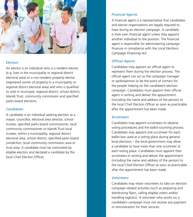

#### *Electors*

An elector is an individual who is a resident elector (e.g. lives in the municipality or regional district electoral area) or a non-resident property elector (registered owner of property in a municipality or regional district electoral area) and who is qualified to vote in municipal, regional district, school district, Islands Trust, community commission and specified parks board elections.

#### *Candidates*

A candidate is an individual seeking election as a mayor, councillor, electoral area director, school trustee, specified parks board commissioner, local community commissioner or Islands Trust local trustee, within a municipality, regional district electoral area, school district, specified parks board jurisdiction, local community commission area or trust area. A candidate must be nominated by eligible electors and declared a candidate by the local Chief Election Officer.

#### *Financial Agents*

A financial agent is a representative that candidates and elector organizations are legally required to have during an election campaign. A candidate is their own financial agent unless they appoint another individual to the position. The financial agent is responsible for administering campaign finances in compliance with the *Local Elections Campaign Financing Act*.

## *Official Agents*

Candidates may appoint an official agent to represent them during the election process. The official agent can act as the campaign manager or spokesperson or be the point of contact for the people helping on the candidate's election campaign. Candidates must appoint their official agent in writing and deliver the appointment (including the name and address of the person) to the local Chief Election Officer as soon as practicable after the appointment has been made.

#### *Scrutineers*

Candidates may appoint scrutineers to observe voting procedures and the ballot-counting process. Candidates may appoint one scrutineer for each ballot box used at a voting place during general local elections – the local government may allow a candidate to have more than one scrutineer at each voting place. Candidates must appoint their scrutineers in writing and deliver the appointment (including the name and address of the person) to the local Chief Election Officer as soon as practicable after the appointment has been made.

#### *Volunteers*

Candidates may retain volunteers to take on election campaign-related activities (such as preparing and distributing flyers, calling eligible voters and/or handling logistics). A volunteer who works on a candidate's campaign must not receive any payment or remuneration for their services.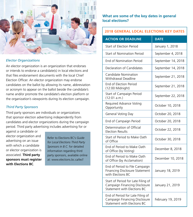

## *Elector Organizations*

An elector organization is an organization that endorses or intends to endorse a candidate(s) in local elections and that files endorsement documents with the local Chief Election Officer. An elector organization may endorse candidates on the ballot by allowing its name, abbreviation or acronym to appear on the ballot beside the candidate's name and/or promote the candidate's election platform or the organization's viewpoints during its election campaign.

## *Third Party Sponsors*

Third party sponsors are individuals or organizations that sponsor election advertising independently from candidates and elector organizations during the campaign period. Third party advertising includes advertising for or

against a candidate or elector organization and advertising on an issue with which a candidate or elector organization is associated. **Third party sponsors must register with Elections BC**.

Refer to Elections BC's *Guide for Local Elections Third Party Sponsors in B.C.* for detailed information regarding third party sponsors, available online at: www.elections.bc.ca/lecf

# **What are some of the key dates in general local elections?**

# **2018 GENERAL LOCAL ELECTIONS KEY DATES**

| <b>ACTION OR DEADLINE</b>                                                                          | <b>DATE</b>        |
|----------------------------------------------------------------------------------------------------|--------------------|
| <b>Start of Election Period</b>                                                                    | January 1, 2018    |
| Start of Nomination Period                                                                         | September 4, 2018  |
| <b>End of Nomination Period</b>                                                                    | September 14, 2018 |
| <b>Declaration of Candidates</b>                                                                   | September 14, 2018 |
| Candidate Nomination<br>Withdrawal Deadline                                                        | September 21, 2018 |
| End of Election Period<br>(12:00 Midnight)                                                         | September 21, 2018 |
| Start of Campaign Period<br>(12:01 a.m.)                                                           | September 22, 2018 |
| Required Advance Voting<br>Opportunity                                                             | October 10, 2018   |
| General Voting Day                                                                                 | October 20, 2018   |
| End of Campaign Period                                                                             | October 20, 2018   |
| Determination of Official<br><b>Election Results</b>                                               | October 22, 2018   |
| Start of Period to Make Oath<br>of Office                                                          | October 30, 2018   |
| End of Period to Make Oath<br>of Office (by Voting)                                                | December 8, 2018   |
| End of Period to Make Oath<br>of Office (by Acclamation)                                           | December 10, 2018  |
| End of Period to File Campaign<br>Financing Disclosure Statement<br>with Elections BC              | January 18, 2019   |
| Start of Period for Late Filing of<br>Campaign Financing Disclosure<br>Statement with Elections BC | January 21, 2019   |
| End of Period for Late Filing of<br>Campaign Financing Disclosure<br>Statement with Elections BC   | February 19, 2019  |